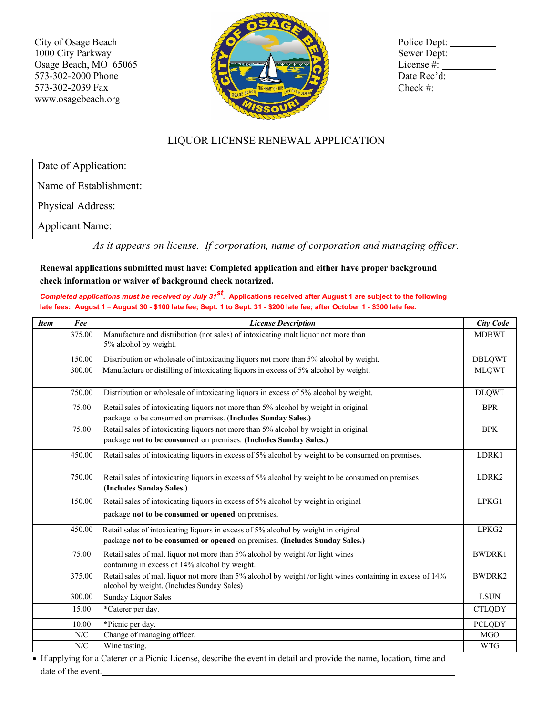City of Osage Beach 1000 City Parkway Osage Beach, MO 65065 573-302-2000 Phone 573-302-2039 Fax www.osagebeach.org



| Police Dept: |
|--------------|
| Sewer Dept:  |
| License #:   |
| Date Rec'd:  |
| Check $#$ :  |

## LIQUOR LICENSE RENEWAL APPLICATION

Date of Application:

Name of Establishment:

Physical Address:

Applicant Name:

*As it appears on license. If corporation, name of corporation and managing officer.* 

**Renewal applications submitted must have: Completed application and either have proper background check information or waiver of background check notarized.** 

*Completed applications must be received by July 31st.* **Applications received after August 1 are subject to the following late fees: August 1 – August 30 - \$100 late fee; Sept. 1 to Sept. 31 - \$200 late fee; after October 1 - \$300 late fee.**

| <b>Item</b> | Fee         | <b>License Description</b>                                                                                                                                       | <b>City Code</b> |  |  |  |  |  |
|-------------|-------------|------------------------------------------------------------------------------------------------------------------------------------------------------------------|------------------|--|--|--|--|--|
|             | 375.00      | Manufacture and distribution (not sales) of intoxicating malt liquor not more than<br>5% alcohol by weight.                                                      | <b>MDBWT</b>     |  |  |  |  |  |
|             | 150.00      | Distribution or wholesale of intoxicating liquors not more than 5% alcohol by weight.                                                                            | <b>DBLQWT</b>    |  |  |  |  |  |
|             | 300.00      | Manufacture or distilling of intoxicating liquors in excess of 5% alcohol by weight.                                                                             | <b>MLQWT</b>     |  |  |  |  |  |
|             | 750.00      | Distribution or wholesale of intoxicating liquors in excess of 5% alcohol by weight.                                                                             |                  |  |  |  |  |  |
|             | 75.00       | Retail sales of intoxicating liquors not more than 5% alcohol by weight in original<br>package to be consumed on premises. (Includes Sunday Sales.)              | <b>BPR</b>       |  |  |  |  |  |
|             | 75.00       | Retail sales of intoxicating liquors not more than 5% alcohol by weight in original<br>package not to be consumed on premises. (Includes Sunday Sales.)          | <b>BPK</b>       |  |  |  |  |  |
|             | 450.00      | Retail sales of intoxicating liquors in excess of 5% alcohol by weight to be consumed on premises.                                                               | LDRK1            |  |  |  |  |  |
|             | 750.00      | Retail sales of intoxicating liquors in excess of 5% alcohol by weight to be consumed on premises<br>(Includes Sunday Sales.)                                    | LDRK2            |  |  |  |  |  |
|             | 150.00      | Retail sales of intoxicating liquors in excess of 5% alcohol by weight in original<br>package not to be consumed or opened on premises.                          | LPKG1            |  |  |  |  |  |
|             | 450.00      | Retail sales of intoxicating liquors in excess of 5% alcohol by weight in original<br>package not to be consumed or opened on premises. (Includes Sunday Sales.) | LPKG2            |  |  |  |  |  |
|             | 75.00       | Retail sales of malt liquor not more than 5% alcohol by weight /or light wines<br>containing in excess of 14% alcohol by weight.                                 | <b>BWDRK1</b>    |  |  |  |  |  |
|             | 375.00      | Retail sales of malt liquor not more than 5% alcohol by weight /or light wines containing in excess of 14%<br>alcohol by weight. (Includes Sunday Sales)         | BWDRK2           |  |  |  |  |  |
|             | 300.00      | <b>Sunday Liquor Sales</b>                                                                                                                                       | <b>LSUN</b>      |  |  |  |  |  |
|             | 15.00       | *Caterer per day.                                                                                                                                                | <b>CTLQDY</b>    |  |  |  |  |  |
|             | 10.00       | *Picnic per day.                                                                                                                                                 | <b>PCLQDY</b>    |  |  |  |  |  |
|             | N/C         | Change of managing officer.                                                                                                                                      | <b>MGO</b>       |  |  |  |  |  |
|             | ${\rm N/C}$ | Wine tasting.                                                                                                                                                    | <b>WTG</b>       |  |  |  |  |  |

• If applying for a Caterer or a Picnic License, describe the event in detail and provide the name, location, time and date of the event.